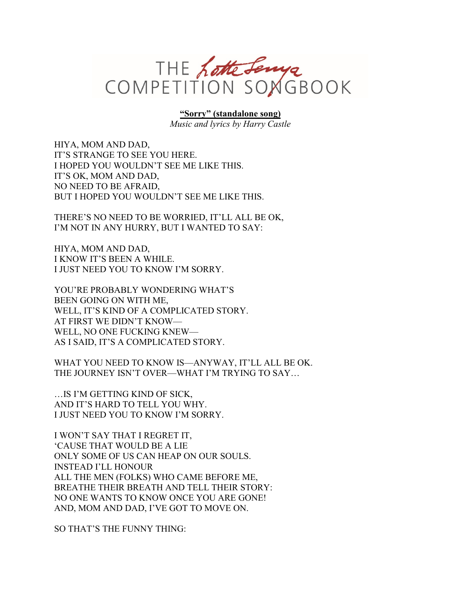

**"Sorry" (standalone song)**

*Music and lyrics by Harry Castle*

HIYA, MOM AND DAD, IT'S STRANGE TO SEE YOU HERE. I HOPED YOU WOULDN'T SEE ME LIKE THIS. IT'S OK, MOM AND DAD, NO NEED TO BE AFRAID, BUT I HOPED YOU WOULDN'T SEE ME LIKE THIS.

THERE'S NO NEED TO BE WORRIED, IT'LL ALL BE OK, I'M NOT IN ANY HURRY, BUT I WANTED TO SAY:

HIYA, MOM AND DAD, I KNOW IT'S BEEN A WHILE. I JUST NEED YOU TO KNOW I'M SORRY.

YOU'RE PROBABLY WONDERING WHAT'S BEEN GOING ON WITH ME, WELL, IT'S KIND OF A COMPLICATED STORY. AT FIRST WE DIDN'T KNOW— WELL, NO ONE FUCKING KNEW— AS I SAID, IT'S A COMPLICATED STORY.

WHAT YOU NEED TO KNOW IS—ANYWAY, IT'LL ALL BE OK. THE JOURNEY ISN'T OVER—WHAT I'M TRYING TO SAY…

…IS I'M GETTING KIND OF SICK, AND IT'S HARD TO TELL YOU WHY. I JUST NEED YOU TO KNOW I'M SORRY.

I WON'T SAY THAT I REGRET IT, 'CAUSE THAT WOULD BE A LIE ONLY SOME OF US CAN HEAP ON OUR SOULS. INSTEAD I'LL HONOUR ALL THE MEN (FOLKS) WHO CAME BEFORE ME, BREATHE THEIR BREATH AND TELL THEIR STORY: NO ONE WANTS TO KNOW ONCE YOU ARE GONE! AND, MOM AND DAD, I'VE GOT TO MOVE ON.

SO THAT'S THE FUNNY THING: